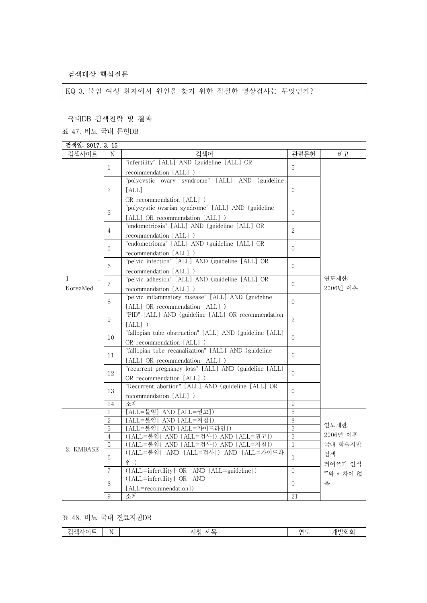검색대상 핵심질문

KQ 3. 불임 여성 환자에서 원인을 찾기 위한 적절한 영상검사는 무엇인가?

국내DB 검색전략 및 결과

표 47. 비뇨 국내 문헌DB

| 검색일: 2017. 3. 15 |                |                                                         |                |            |
|------------------|----------------|---------------------------------------------------------|----------------|------------|
| 검색사이트            | N              | 검색어                                                     | 관련문헌           | 비고         |
|                  | $\mathbf{1}$   | "infertility" [ALL] AND (guideline [ALL] OR             | 5              |            |
|                  |                | recommendation [ALL] )                                  |                |            |
|                  |                | "polycystic ovary syndrome" [ALL] AND (guideline        |                |            |
|                  | 2              | [ALL]                                                   | $\Omega$       |            |
|                  |                | OR recommendation [ALL] )                               |                |            |
|                  | 3              | "polycystic ovarian syndrome" [ALL] AND (guideline      |                |            |
|                  |                | [ALL] OR recommendation [ALL] )                         | $\Omega$       |            |
|                  |                | "endometriosis" [ALL] AND (guideline [ALL] OR           |                |            |
|                  | 4              | recommendation [ALL] )                                  | $\sqrt{2}$     |            |
|                  |                | "endometrioma" [ALL] AND (guideline [ALL] OR            |                |            |
|                  | 5              | recommendation [ALL] )                                  | $\Omega$       |            |
|                  |                | "pelvic infection" [ALL] AND (guideline [ALL] OR        |                |            |
|                  | 6              | recommendation [ALL] )                                  | $\Omega$       |            |
| $\mathbf{1}$     |                | "pelvic adhesion" [ALL] AND (guideline [ALL] OR         |                | 연도제한:      |
| KoreaMed         | $\overline{7}$ | recommendation [ALL] )                                  | $\Omega$       | 2006년 이후   |
|                  |                | "pelvic inflammatory disease" [ALL] AND (guideline      |                | $\Omega$   |
|                  | 8              | [ALL] OR recommendation [ALL] )                         |                |            |
|                  |                | "PID" [ALL] AND (guideline [ALL] OR recommendation      |                |            |
|                  | 9              | $[ALL]$ )                                               | 2              |            |
|                  |                | "fallopian tube obstruction" [ALL] AND (guideline [ALL] |                |            |
|                  | 10             | OR recommendation [ALL] )                               | $\Omega$       |            |
|                  |                | "fallopian tube recanalization" [ALL] AND (guideline    |                |            |
|                  | 11             | [ALL] OR recommendation [ALL] )                         | $\Omega$       |            |
|                  |                | "recurrent pregnancy loss" [ALL] AND (guideline [ALL]   |                |            |
|                  | 12             | OR recommendation [ALL] )                               | $\Omega$       |            |
|                  |                | "Recurrent abortion" [ALL] AND (guideline [ALL] OR      |                |            |
|                  | 13             | recommendation [ALL] )                                  | $\Omega$       |            |
|                  | 14             | 소계                                                      | 9              |            |
|                  | 1              | [ALL=불임] AND [ALL=권고])                                  | 5              |            |
|                  | 2              | [ALL=불임] AND [ALL=지침])                                  | 8              |            |
| 2. KMBASE        | 3              | [ALL=불임] AND [ALL=가이드라인])                               | 3              | 연도제한:      |
|                  | $\overline{4}$ | ([ALL=불임] AND [ALL=검사]) AND [ALL=권고])                   | $\overline{3}$ | 2006년 이후   |
|                  | 5              | ([ALL=불임] AND [ALL=검사]) AND [ALL=지침])                   | $\mathbf{1}$   | 국내 학술지만    |
|                  | 6              | ([ALL=불임] AND [ALL=검사]) AND [ALL=가이드라                   | $\mathbf{1}$   | 걲색         |
|                  |                | 인])                                                     |                | 띄어쓰기 인식    |
|                  | 7              | ([ALL=infertility] OR AND [ALL=guideline])              | $\Omega$       | ""와 * 차이 없 |
|                  | 8              | ([ALL=infertility] OR AND                               | $\overline{0}$ | 음          |
|                  |                | [ALL=recommendation])                                   |                |            |
|                  | 9              | 소계                                                      | 21             |            |

표 48. 비뇨 국내 진료지침DB

| $\cdot$ | 제.<br>- -<br>w<br>`∧п<br>$\sim$<br>_<br>$\overline{\phantom{a}}$<br>_<br>. .<br>$\tilde{}$ |
|---------|--------------------------------------------------------------------------------------------|
|---------|--------------------------------------------------------------------------------------------|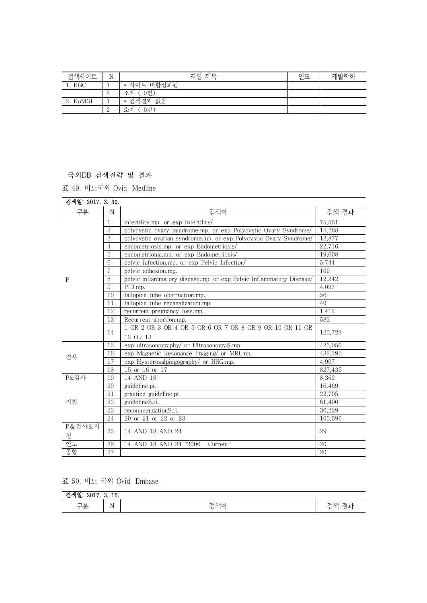| 검색사이트    | N | 지침 제목         | 연도 | 개발학회 |
|----------|---|---------------|----|------|
| KGC      |   | * 사이트 비활성화됨   |    |      |
|          | ↩ | - 0건)<br>소계 ( |    |      |
| 2. KoMGI | ᅩ | * 검색결과 없음     |    |      |
|          |   | 0건`<br>수계     |    |      |

국외DB 검색전략 및 결과

표 49. 비뇨국외 Ovid-Medline

| 검색일: 2017. 3. 30. |                |                                                                      |         |
|-------------------|----------------|----------------------------------------------------------------------|---------|
| 구분                | N              | 검색어                                                                  | 검색 결과   |
|                   | $\mathbf{1}$   | infertility.mp. or exp Infertility/                                  | 75,551  |
|                   | $\overline{2}$ | polycystic ovary syndrome.mp. or exp Polycystic Ovary Syndrome/      | 14,268  |
|                   | 3              | polycystic ovarian syndrome.mp. or exp Polycystic Ovary Syndrome/    | 12,877  |
|                   | 4              | endometriosis.mp. or exp Endometriosis/                              | 22,716  |
|                   | 5              | endometrioma.mp. or exp Endometriosis/                               | 19,608  |
|                   | 6              | pelvic infection.mp. or exp Pelvic Infection                         | 5,744   |
|                   | $\overline{7}$ | pelvic adhesion.mp.                                                  | 109     |
| P                 | 8              | pelvic inflammatory disease.mp. or exp Pelvic Inflammatory Disease/  | 12,242  |
|                   | 9              | PID.mp.                                                              | 4,097   |
|                   | 10             | fallopian tube obstruction.mp.                                       | 56      |
|                   | 11             | fallopian tube recanalization.mp.                                    | 40      |
|                   | 12             | recurrent pregnancy loss.mp.                                         | 1,412   |
|                   | 13             | Recurrent abortion.mp.                                               | 583     |
|                   | 14             | 1 OR 2 OR 3 OR 4 OR 5 OR 6 OR 7 OR 8 OR 9 OR 10 OR 11 OR<br>12 OR 13 | 125.728 |
|                   | 15             | exp ultrasonography/ or Ultrasonogra\$.mp.                           | 423,050 |
|                   | 16             | exp Magnetic Resonance Imaging or MRI.mp.                            | 432.292 |
| 검사                | 17             | exp Hysterosalpingography/ or HSG.mp.                                | 4.907   |
|                   | 18             | 15 or 16 or 17                                                       | 827,435 |
| P&검사              | 19             | 14 AND 18                                                            | 8.362   |
|                   | 20             | guideline.pt.                                                        | 16.469  |
|                   | 21             | practice guideline.pt.                                               | 22,705  |
| 지침                | 22             | guideline\$.ti.                                                      | 61,400  |
|                   | 23             | recommendation\$.ti.                                                 | 30.229  |
|                   | 24             | 20 or 21 or 22 or 23                                                 | 103,596 |
| P&검사&지            |                |                                                                      |         |
| 침                 | 25             | 14 AND 18 AND 24                                                     | 29      |
| 연도                | 26             | 14 AND 18 AND 24 "2006 -Current"                                     | 20      |
| 종합                | 27             |                                                                      | 20      |

표 50. 비뇨 국외 Ovid-Embase

| -4 V<br>. .                     | .                          |          |   |
|---------------------------------|----------------------------|----------|---|
| $\neg$ H<br><u>-</u><br>__<br>山 | $\mathbf{v}$<br><b>I V</b> | 건센'<br>- | ー |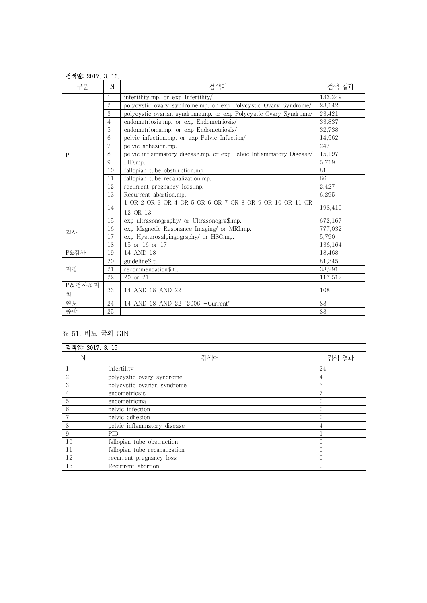| 검색일: 2017. 3. 16. |                |                                                                     |         |
|-------------------|----------------|---------------------------------------------------------------------|---------|
| 구분                | N              | 검색어                                                                 | 검색 결과   |
|                   | $\mathbf{1}$   | infertility.mp. or exp Infertility/                                 | 133.249 |
|                   | $\overline{2}$ | polycystic ovary syndrome.mp. or exp Polycystic Ovary Syndrome/     | 23.142  |
|                   | 3              | polycystic ovarian syndrome.mp. or exp Polycystic Ovary Syndrome/   | 23,421  |
|                   | $\overline{4}$ | endometriosis.mp. or exp Endometriosis/                             | 33,837  |
|                   | 5              | endometrioma.mp. or exp Endometriosis/                              | 32,738  |
|                   | 6              | pelvic infection.mp. or exp Pelvic Infection/                       | 14,562  |
|                   | $\overline{7}$ | pelvic adhesion.mp.                                                 | 247     |
| P                 | 8              | pelvic inflammatory disease.mp. or exp Pelvic Inflammatory Disease/ | 15,197  |
|                   | 9              | PID.mp.                                                             | 5,719   |
|                   | 10             | fallopian tube obstruction.mp.                                      | 81      |
|                   | 11             | fallopian tube recanalization.mp.                                   | 66      |
|                   | 12             | recurrent pregnancy loss.mp.                                        | 2,427   |
|                   | 13             | Recurrent abortion.mp.                                              | 6.295   |
|                   |                | 1 OR 2 OR 3 OR 4 OR 5 OR 6 OR 7 OR 8 OR 9 OR 10 OR 11 OR            | 198.410 |
|                   | 14             | 12 OR 13                                                            |         |
|                   | 15             | exp ultrasonography/ or Ultrasonogra\$.mp.                          | 672.167 |
| 검사                | 16             | exp Magnetic Resonance Imaging/ or MRI.mp.                          | 777,032 |
|                   | 17             | exp Hysterosalpingography/ or HSG.mp.                               | 5.790   |
|                   | 18             | 15 or 16 or 17                                                      | 136.164 |
| P&검사              | 19             | 14 AND 18                                                           | 18.468  |
|                   | 20             | guideline\$.ti.                                                     | 81.345  |
| 지침                | 21             | recommendation\$.ti.                                                | 38,291  |
|                   | 22             | 20 or 21                                                            | 117,512 |
| P&검사&지<br>침       | 23             | 14 AND 18 AND 22                                                    | 108     |
| 연도                | 24             | 14 AND 18 AND 22 "2006 -Current"                                    | 83      |
| 종합                | 25             |                                                                     | 83      |

## 표 51. 비뇨 국외 GIN

| 검색일: 2017. 3. 15 |                               |       |  |  |
|------------------|-------------------------------|-------|--|--|
| N                | 검색어                           | 검색 결과 |  |  |
|                  | infertility                   | 24    |  |  |
|                  | polycystic ovary syndrome     | 4     |  |  |
| 3                | polycystic ovarian syndrome   | 3     |  |  |
| 4                | endometriosis                 |       |  |  |
| 5                | endometrioma                  |       |  |  |
| 6                | pelvic infection              |       |  |  |
|                  | pelvic adhesion               |       |  |  |
| 8                | pelvic inflammatory disease   | 4     |  |  |
| 9                | PID                           |       |  |  |
| 10               | fallopian tube obstruction    |       |  |  |
| 11               | fallopian tube recanalization |       |  |  |
| 12               | recurrent pregnancy loss      |       |  |  |
| 13               | Recurrent abortion            |       |  |  |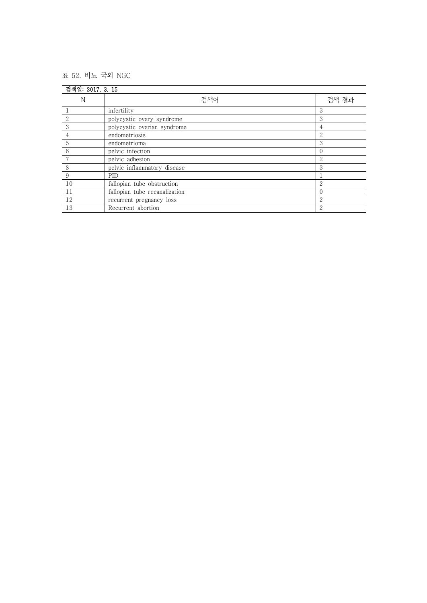## 표 52. 비뇨 국외 NGC

| 검색일: 2017. 3. 15 |                               |                             |  |
|------------------|-------------------------------|-----------------------------|--|
| N                | 검색어                           | 검색 결과                       |  |
|                  | infertility                   | 3                           |  |
|                  | polycystic ovary syndrome     | 3                           |  |
| 3                | polycystic ovarian syndrome   | 4                           |  |
| 4                | endometriosis                 | 2                           |  |
| 5                | endometrioma                  | 3                           |  |
| 6                | pelvic infection              |                             |  |
|                  | pelvic adhesion               | 2                           |  |
| 8                | pelvic inflammatory disease   | 3                           |  |
| 9                | PID                           |                             |  |
| 10               | fallopian tube obstruction    | $\Omega$                    |  |
| 11               | fallopian tube recanalization |                             |  |
| 12               | recurrent pregnancy loss      | 2                           |  |
| 13               | Recurrent abortion            | $\mathcal{D}_{\mathcal{L}}$ |  |